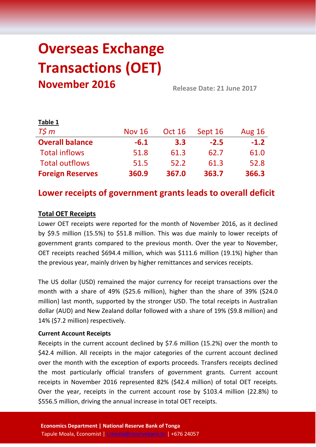# **Overseas Exchange Transactions (OET) November 2016 Release Date: <sup>21</sup> June <sup>2017</sup>**

| Table 1                 |               |               |         |               |
|-------------------------|---------------|---------------|---------|---------------|
| $T\zeta m$              | <b>Nov 16</b> | <b>Oct 16</b> | Sept 16 | <b>Aug 16</b> |
| <b>Overall balance</b>  | $-6.1$        | 3.3           | $-2.5$  | $-1.2$        |
| <b>Total inflows</b>    | 51.8          | 61.3          | 62.7    | 61.0          |
| <b>Total outflows</b>   | 51.5          | 52.2          | 61.3    | 52.8          |
| <b>Foreign Reserves</b> | 360.9         | 367.0         | 363.7   | 366.3         |

## **Lower receipts of government grants leads to overall deficit**

#### **Total OET Receipts**

Lower OET receipts were reported for the month of November 2016, as it declined by \$9.5 million (15.5%) to \$51.8 million. This was due mainly to lower receipts of government grants compared to the previous month. Over the year to November, OET receipts reached \$694.4 million, which was \$111.6 million (19.1%) higher than the previous year, mainly driven by higher remittances and services receipts.

The US dollar (USD) remained the major currency for receipt transactions over the month with a share of 49% (\$25.6 million), higher than the share of 39% (\$24.0 million) last month, supported by the stronger USD. The total receipts in Australian dollar (AUD) and New Zealand dollar followed with a share of 19% (\$9.8 million) and 14% (\$7.2 million) respectively.

#### **Current Account Receipts**

Receipts in the current account declined by \$7.6 million (15.2%) over the month to \$42.4 million. All receipts in the major categories of the current account declined over the month with the exception of exports proceeds. Transfers receipts declined the most particularly official transfers of government grants. Current account receipts in November 2016 represented 82% (\$42.4 million) of total OET receipts. Over the year, receipts in the current account rose by \$103.4 million (22.8%) to \$556.5 million, driving the annual increase in total OET receipts.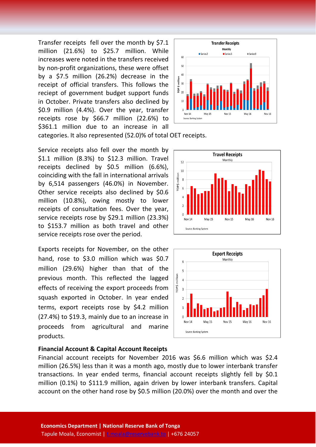Transfer receipts fell over the month by \$7.1 million (21.6%) to \$25.7 million. While increases were noted in the transfers received by non-profit organizations, these were offset by a \$7.5 million (26.2%) decrease in the receipt of official transfers. This follows the reciept of government budget support funds in October. Private transfers also declined by \$0.9 million (4.4%). Over the year, transfer receipts rose by \$66.7 million (22.6%) to \$361.1 million due to an increase in all



categories. It also represented (52.0)% of total OET receipts.

Service receipts also fell over the month by \$1.1 million (8.3%) to \$12.3 million. Travel receipts declined by \$0.5 million (6.6%), coinciding with the fall in international arrivals by 6,514 passengers (46.0%) in November. Other service receipts also declined by \$0.6 million (10.8%), owing mostly to lower receipts of consultation fees. Over the year, service receipts rose by \$29.1 million (23.3%) to \$153.7 million as both travel and other service receipts rose over the period.

Exports receipts for November, on the other hand, rose to \$3.0 million which was \$0.7 million (29.6%) higher than that of the previous month. This reflected the lagged effects of receiving the export proceeds from squash exported in October. In year ended terms, export receipts rose by \$4.2 million (27.4%) to \$19.3, mainly due to an increase in proceeds from agricultural and marine products.





#### **Financial Account & Capital Account Receipts**

Financial account receipts for November 2016 was \$6.6 million which was \$2.4 million (26.5%) less than it was a month ago, mostly due to lower interbank transfer transactions. In year ended terms, financial account receipts slightly fell by \$0.1 million (0.1%) to \$111.9 million, again driven by lower interbank transfers. Capital account on the other hand rose by \$0.5 million (20.0%) over the month and over the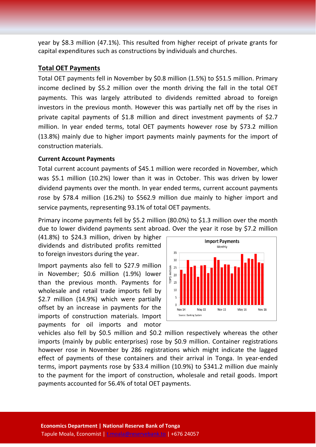year by \$8.3 million (47.1%). This resulted from higher receipt of private grants for capital expenditures such as constructions by individuals and churches.

#### **Total OET Payments**

Total OET payments fell in November by \$0.8 million (1.5%) to \$51.5 million. Primary income declined by \$5.2 million over the month driving the fall in the total OET payments. This was largely attributed to dividends remitted abroad to foreign investors in the previous month. However this was partially net off by the rises in private capital payments of \$1.8 million and direct investment payments of \$2.7 million. In year ended terms, total OET payments however rose by \$73.2 million (13.8%) mainly due to higher import payments mainly payments for the import of construction materials.

#### **Current Account Payments**

Total current account payments of \$45.1 million were recorded in November, which was \$5.1 million (10.2%) lower than it was in October. This was driven by lower dividend payments over the month. In year ended terms, current account payments rose by \$78.4 million (16.2%) to \$562.9 million due mainly to higher import and service payments, representing 93.1% of total OET payments.

Primary income payments fell by \$5.2 million (80.0%) to \$1.3 million over the month due to lower dividend payments sent abroad. Over the year it rose by \$7.2 million

(41.8%) to \$24.3 million, driven by higher dividends and distributed profits remitted to foreign investors during the year.

Import payments also fell to \$27.9 million in November; \$0.6 million (1.9%) lower than the previous month. Payments for wholesale and retail trade imports fell by \$2.7 million (14.9%) which were partially offset by an increase in payments for the imports of construction materials. Import payments for oil imports and motor



vehicles also fell by \$0.5 million and \$0.2 million respectively whereas the other imports (mainly by public enterprises) rose by \$0.9 million. Container registrations however rose in November by 286 registrations which might indicate the lagged effect of payments of these containers and their arrival in Tonga. In year-ended terms, import payments rose by \$33.4 million (10.9%) to \$341.2 million due mainly to the payment for the import of construction, wholesale and retail goods. Import payments accounted for 56.4% of total OET payments.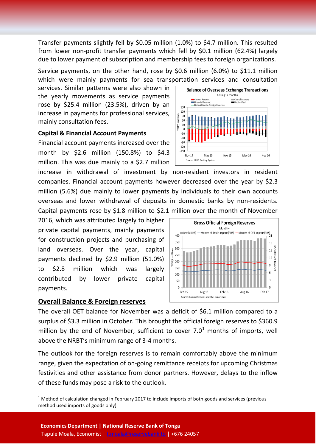Transfer payments slightly fell by \$0.05 million (1.0%) to \$4.7 million. This resulted from lower non-profit transfer payments which fell by \$0.1 million (62.4%) largely due to lower payment of subscription and membership fees to foreign organizations.

Service payments, on the other hand, rose by \$0.6 million (6.0%) to \$11.1 million which were mainly payments for sea transportation services and consultation

services. Similar patterns were also shown in the yearly movements as service payments rose by \$25.4 million (23.5%), driven by an increase in payments for professional services, mainly consultation fees.

#### **Capital & Financial Account Payments**

Financial account payments increased over the month by \$2.6 million (150.8%) to \$4.3 million. This was due mainly to a \$2.7 million

increase in withdrawal of investment by non-resident investors in resident companies. Financial account payments however decreased over the year by \$2.3 million (5.6%) due mainly to lower payments by individuals to their own accounts overseas and lower withdrawal of deposits in domestic banks by non-residents. Capital payments rose by \$1.8 million to \$2.1 million over the month of November

2016, which was attributed largely to higher private capital payments, mainly payments for construction projects and purchasing of land overseas. Over the year, capital payments declined by \$2.9 million (51.0%) to \$2.8 million which was largely contributed by lower private capital payments.

#### **Overall Balance & Foreign reserves**





The overall OET balance for November was a deficit of \$6.1 million compared to a surplus of \$3.3 million in October. This brought the official foreign reserves to \$360.9 million by the end of November, sufficient to cover  $7.0<sup>1</sup>$  $7.0<sup>1</sup>$  $7.0<sup>1</sup>$  months of imports, well above the NRBT's minimum range of 3-4 months.

The outlook for the foreign reserves is to remain comfortably above the minimum range, given the expectation of on-going remittance receipts for upcoming Christmas festivities and other assistance from donor partners. However, delays to the inflow of these funds may pose a risk to the outlook.

<span id="page-3-0"></span> $1$  Method of calculation changed in February 2017 to include imports of both goods and services (previous method used imports of goods only)